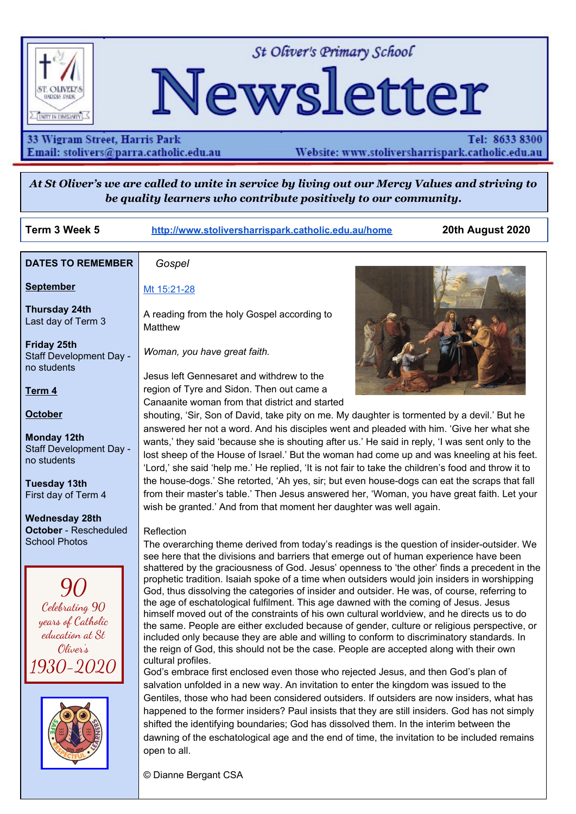

St Oliver's Primary School

# Newsletter

#### 33 Wigram Street, Harris Park Email: stolivers@parra.catholic.edu.au

Tel: 8633 8300 Website: www.stoliversharrispark.catholic.edu.au

At St Oliver's we are called to unite in service by living out our Mercy Values and striving to *be quality learners who contribute positively to our community.*

**Term 3 Week 5 [http://www.stoliversharrispark.catholic.edu.au/home](http://www.stoliversharrispark.catholic.edu.au/) 20th August 2020**

| <b>DATES TO REMEMBER</b>                                           | Gospel                                                                                                                                                                                                                                                                                                                                                                                                                                                                                                                                                                                                                                                                                                                                                                                                |  |  |  |  |
|--------------------------------------------------------------------|-------------------------------------------------------------------------------------------------------------------------------------------------------------------------------------------------------------------------------------------------------------------------------------------------------------------------------------------------------------------------------------------------------------------------------------------------------------------------------------------------------------------------------------------------------------------------------------------------------------------------------------------------------------------------------------------------------------------------------------------------------------------------------------------------------|--|--|--|--|
| <b>September</b>                                                   | Mt 15:21-28                                                                                                                                                                                                                                                                                                                                                                                                                                                                                                                                                                                                                                                                                                                                                                                           |  |  |  |  |
| <b>Thursday 24th</b><br>Last day of Term 3                         | A reading from the holy Gospel according to<br>Matthew                                                                                                                                                                                                                                                                                                                                                                                                                                                                                                                                                                                                                                                                                                                                                |  |  |  |  |
| <b>Friday 25th</b><br>Staff Development Day -<br>no students       | Woman, you have great faith.                                                                                                                                                                                                                                                                                                                                                                                                                                                                                                                                                                                                                                                                                                                                                                          |  |  |  |  |
|                                                                    | Jesus left Gennesaret and withdrew to the                                                                                                                                                                                                                                                                                                                                                                                                                                                                                                                                                                                                                                                                                                                                                             |  |  |  |  |
| Term <sub>4</sub>                                                  | region of Tyre and Sidon. Then out came a<br>Canaanite woman from that district and started                                                                                                                                                                                                                                                                                                                                                                                                                                                                                                                                                                                                                                                                                                           |  |  |  |  |
| <b>October</b>                                                     | shouting, 'Sir, Son of David, take pity on me. My daughter is tormented by a devil.' But he                                                                                                                                                                                                                                                                                                                                                                                                                                                                                                                                                                                                                                                                                                           |  |  |  |  |
| <b>Monday 12th</b><br>Staff Development Day -<br>no students       | answered her not a word. And his disciples went and pleaded with him. 'Give her what she<br>wants,' they said 'because she is shouting after us.' He said in reply, 'I was sent only to the<br>lost sheep of the House of Israel.' But the woman had come up and was kneeling at his feet.<br>'Lord,' she said 'help me.' He replied, 'It is not fair to take the children's food and throw it to                                                                                                                                                                                                                                                                                                                                                                                                     |  |  |  |  |
| <b>Tuesday 13th</b>                                                | the house-dogs.' She retorted, 'Ah yes, sir; but even house-dogs can eat the scraps that fall                                                                                                                                                                                                                                                                                                                                                                                                                                                                                                                                                                                                                                                                                                         |  |  |  |  |
| First day of Term 4                                                | from their master's table.' Then Jesus answered her, 'Woman, you have great faith. Let your                                                                                                                                                                                                                                                                                                                                                                                                                                                                                                                                                                                                                                                                                                           |  |  |  |  |
|                                                                    | wish be granted.' And from that moment her daughter was well again.                                                                                                                                                                                                                                                                                                                                                                                                                                                                                                                                                                                                                                                                                                                                   |  |  |  |  |
| <b>Wednesday 28th</b><br><b>October</b> - Rescheduled              | Reflection                                                                                                                                                                                                                                                                                                                                                                                                                                                                                                                                                                                                                                                                                                                                                                                            |  |  |  |  |
| <b>School Photos</b>                                               | The overarching theme derived from today's readings is the question of insider-outsider. We                                                                                                                                                                                                                                                                                                                                                                                                                                                                                                                                                                                                                                                                                                           |  |  |  |  |
|                                                                    | see here that the divisions and barriers that emerge out of human experience have been                                                                                                                                                                                                                                                                                                                                                                                                                                                                                                                                                                                                                                                                                                                |  |  |  |  |
| Celebrating 90<br>years of Catholic<br>education at St<br>Oliver's | shattered by the graciousness of God. Jesus' openness to 'the other' finds a precedent in the<br>prophetic tradition. Isaiah spoke of a time when outsiders would join insiders in worshipping<br>God, thus dissolving the categories of insider and outsider. He was, of course, referring to<br>the age of eschatological fulfilment. This age dawned with the coming of Jesus. Jesus<br>himself moved out of the constraints of his own cultural worldview, and he directs us to do<br>the same. People are either excluded because of gender, culture or religious perspective, or<br>included only because they are able and willing to conform to discriminatory standards. In<br>the reign of God, this should not be the case. People are accepted along with their own<br>cultural profiles. |  |  |  |  |
|                                                                    | God's embrace first enclosed even those who rejected Jesus, and then God's plan of<br>salvation unfolded in a new way. An invitation to enter the kingdom was issued to the<br>Gentiles, those who had been considered outsiders. If outsiders are now insiders, what has<br>happened to the former insiders? Paul insists that they are still insiders. God has not simply<br>shifted the identifying boundaries; God has dissolved them. In the interim between the<br>dawning of the eschatological age and the end of time, the invitation to be included remains                                                                                                                                                                                                                                 |  |  |  |  |
|                                                                    | open to all.                                                                                                                                                                                                                                                                                                                                                                                                                                                                                                                                                                                                                                                                                                                                                                                          |  |  |  |  |

© Dianne Bergant CSA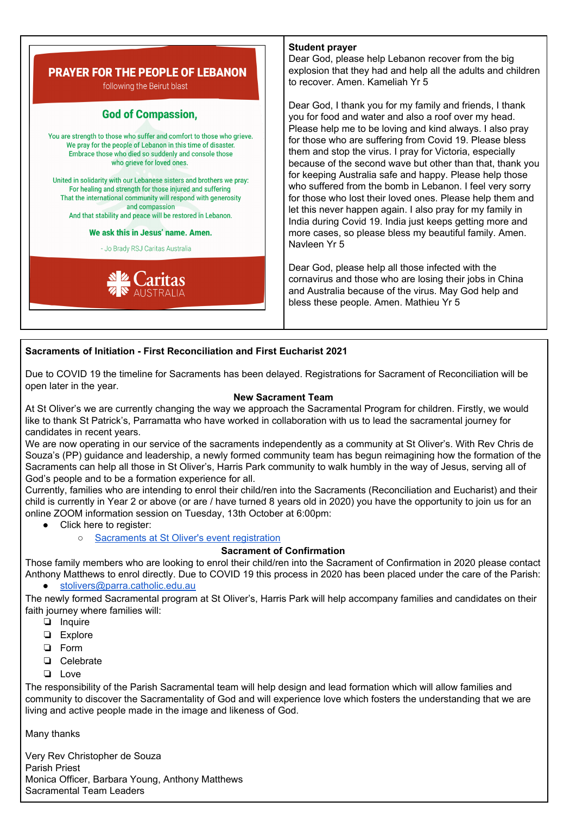

#### **Student prayer**

Dear God, please help Lebanon recover from the big explosion that they had and help all the adults and children to recover. Amen. Kameliah Yr 5

Dear God, I thank you for my family and friends, I thank you for food and water and also a roof over my head. Please help me to be loving and kind always. I also pray for those who are suffering from Covid 19. Please bless them and stop the virus. I pray for Victoria, especially because of the second wave but other than that, thank you for keeping Australia safe and happy. Please help those who suffered from the bomb in Lebanon. I feel very sorry for those who lost their loved ones. Please help them and let this never happen again. I also pray for my family in India during Covid 19. India just keeps getting more and more cases, so please bless my beautiful family. Amen.

Dear God, please help all those infected with the cornavirus and those who are losing their jobs in China and Australia because of the virus. May God help and bless these people. Amen. Mathieu Yr 5

#### **Sacraments of Initiation - First Reconciliation and First Eucharist 2021**

Due to COVID 19 the timeline for Sacraments has been delayed. Registrations for Sacrament of Reconciliation will be open later in the year.

#### **New Sacrament Team**

At St Oliver's we are currently changing the way we approach the Sacramental Program for children. Firstly, we would like to thank St Patrick's, Parramatta who have worked in collaboration with us to lead the sacramental journey for candidates in recent years.

We are now operating in our service of the sacraments independently as a community at St Oliver's. With Rev Chris de Souza's (PP) guidance and leadership, a newly formed community team has begun reimagining how the formation of the Sacraments can help all those in St Oliver's, Harris Park community to walk humbly in the way of Jesus, serving all of God's people and to be a formation experience for all.

Currently, families who are intending to enrol their child/ren into the Sacraments (Reconciliation and Eucharist) and their child is currently in Year 2 or above (or are / have turned 8 years old in 2020) you have the opportunity to join us for an online ZOOM information session on Tuesday, 13th October at 6:00pm:

- Click here to register:
	- [Sacraments](https://www.eventbrite.com.au/e/sacraments-at-st-olivers-harris-park-information-evening-tickets-116340807487?utm-medium=discovery&utm-campaign=social&utm-content=attendeeshare&aff=escb&utm-source=cp&utm-term=listing) at St Oliver's event registration

#### **Sacrament of Confirmation**

Those family members who are looking to enrol their child/ren into the Sacrament of Confirmation in 2020 please contact Anthony Matthews to enrol directly. Due to COVID 19 this process in 2020 has been placed under the care of the Parish:

[stolivers@parra.catholic.edu.au](mailto:stolivers@parra.catholic.edu.au)

The newly formed Sacramental program at St Oliver's, Harris Park will help accompany families and candidates on their faith journey where families will:

- ❏ Inquire
- ❏ Explore
- ❏ Form
- ❏ Celebrate
- ❏ Love

The responsibility of the Parish Sacramental team will help design and lead formation which will allow families and community to discover the Sacramentality of God and will experience love which fosters the understanding that we are living and active people made in the image and likeness of God.

Many thanks

Very Rev Christopher de Souza Parish Priest Monica Officer, Barbara Young, Anthony Matthews Sacramental Team Leaders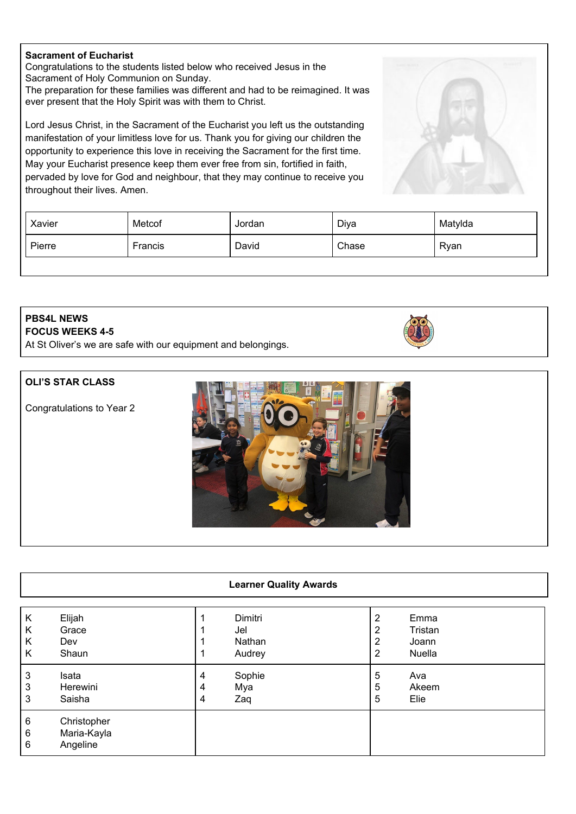#### **Sacrament of Eucharist**

Congratulations to the students listed below who received Jesus in the Sacrament of Holy Communion on Sunday.

The preparation for these families was different and had to be reimagined. It was ever present that the Holy Spirit was with them to Christ.

Lord Jesus Christ, in the Sacrament of the Eucharist you left us the outstanding manifestation of your limitless love for us. Thank you for giving our children the opportunity to experience this love in receiving the Sacrament for the first time. May your Eucharist presence keep them ever free from sin, fortified in faith, pervaded by love for God and neighbour, that they may continue to receive you throughout their lives. Amen.

| Xavier | Metcof  | Jordan | Diya  | Matylda |
|--------|---------|--------|-------|---------|
| Pierre | Francis | David  | Chase | Ryan    |

#### **PBS4L NEWS FOCUS WEEKS 4-5**

At St Oliver's we are safe with our equipment and belongings.

#### **OLI'S STAR CLASS**

Congratulations to Year 2



| K           | Elijah                                 |   | Dimitri | 2 | Emma    |
|-------------|----------------------------------------|---|---------|---|---------|
| K           | Grace                                  |   | Jel     | 2 | Tristan |
| K           | Dev                                    |   | Nathan  | 2 | Joann   |
| K           | Shaun                                  |   | Audrey  | 2 | Nuella  |
| 3           | Isata                                  | 4 | Sophie  | 5 | Ava     |
| 3           | Herewini                               | 4 | Mya     | 5 | Akeem   |
| 3           | Saisha                                 | 4 | Zaq     | 5 | Elie    |
| 6<br>6<br>6 | Christopher<br>Maria-Kayla<br>Angeline |   |         |   |         |